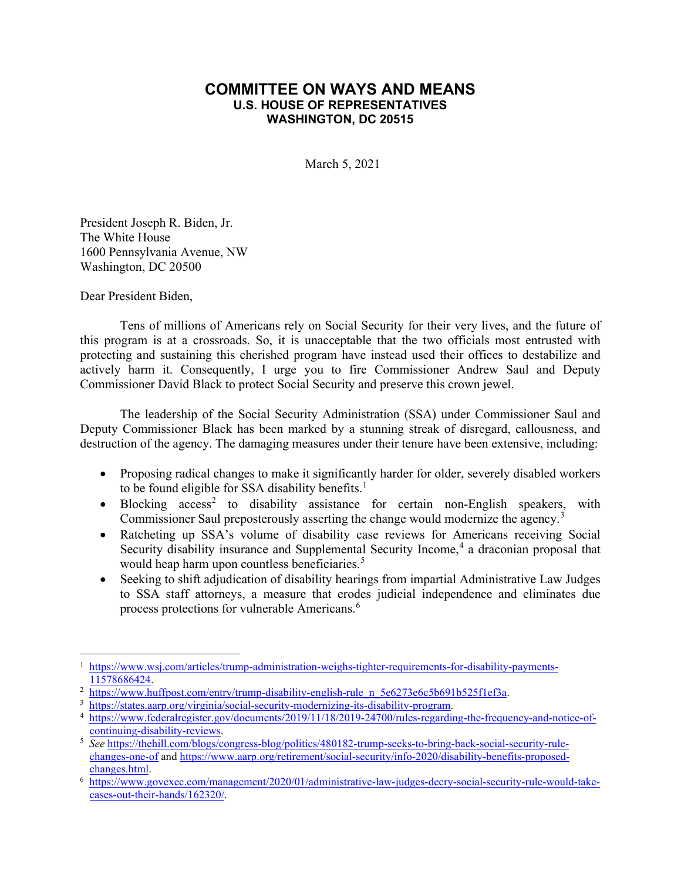## **COMMITTEE ON WAYS AND MEANS U.S. HOUSE OF REPRESENTATIVES WASHINGTON, DC 20515**

March 5, 2021

President Joseph R. Biden, Jr. The White House 1600 Pennsylvania Avenue, NW Washington, DC 20500

Dear President Biden,

Tens of millions of Americans rely on Social Security for their very lives, and the future of this program is at a crossroads. So, it is unacceptable that the two officials most entrusted with protecting and sustaining this cherished program have instead used their offices to destabilize and actively harm it. Consequently, I urge you to fire Commissioner Andrew Saul and Deputy Commissioner David Black to protect Social Security and preserve this crown jewel.

The leadership of the Social Security Administration (SSA) under Commissioner Saul and Deputy Commissioner Black has been marked by a stunning streak of disregard, callousness, and destruction of the agency. The damaging measures under their tenure have been extensive, including:

- Proposing radical changes to make it significantly harder for older, severely disabled workers to be found eligible for SSA disability benefits.<sup>[1](#page-0-0)</sup>
- Blocking  $access^2$  $access^2$  to disability assistance for certain non-English speakers, with Commissioner Saul preposterously asserting the change would modernize the agency.<sup>[3](#page-0-2)</sup>
- Ratcheting up SSA's volume of disability case reviews for Americans receiving Social Security disability insurance and Supplemental Security Income,<sup>[4](#page-0-3)</sup> a draconian proposal that would heap harm upon countless beneficiaries.<sup>[5](#page-0-4)</sup>
- Seeking to shift adjudication of disability hearings from impartial Administrative Law Judges to SSA staff attorneys, a measure that erodes judicial independence and eliminates due process protections for vulnerable Americans.[6](#page-0-5)

<span id="page-0-0"></span><sup>1</sup> [https://www.wsj.com/articles/trump-administration-weighs-tighter-requirements-for-disability-payments-](https://www.wsj.com/articles/trump-administration-weighs-tighter-requirements-for-disability-payments-11578686424)[11578686424.](https://www.wsj.com/articles/trump-administration-weighs-tighter-requirements-for-disability-payments-11578686424)

<span id="page-0-1"></span><sup>&</sup>lt;sup>2</sup> [https://www.huffpost.com/entry/trump-disability-english-rule\\_n\\_5e6273e6c5b691b525f1ef3a.](https://www.huffpost.com/entry/trump-disability-english-rule_n_5e6273e6c5b691b525f1ef3a)

<span id="page-0-2"></span><sup>3</sup> [https://states.aarp.org/virginia/social-security-modernizing-its-disability-program.](https://states.aarp.org/virginia/social-security-modernizing-its-disability-program)

<span id="page-0-3"></span><sup>4</sup> [https://www.federalregister.gov/documents/2019/11/18/2019-24700/rules-regarding-the-frequency-and-notice-of](https://www.federalregister.gov/documents/2019/11/18/2019-24700/rules-regarding-the-frequency-and-notice-of-continuing-disability-reviews)[continuing-disability-reviews.](https://www.federalregister.gov/documents/2019/11/18/2019-24700/rules-regarding-the-frequency-and-notice-of-continuing-disability-reviews)

<span id="page-0-4"></span><sup>5</sup> *See* [https://thehill.com/blogs/congress-blog/politics/480182-trump-seeks-to-bring-back-social-security-rule](https://thehill.com/blogs/congress-blog/politics/480182-trump-seeks-to-bring-back-social-security-rule-changes-one-of)[changes-one-of](https://thehill.com/blogs/congress-blog/politics/480182-trump-seeks-to-bring-back-social-security-rule-changes-one-of) an[d https://www.aarp.org/retirement/social-security/info-2020/disability-benefits-proposed](https://www.aarp.org/retirement/social-security/info-2020/disability-benefits-proposed-changes.html)[changes.html.](https://www.aarp.org/retirement/social-security/info-2020/disability-benefits-proposed-changes.html)

<span id="page-0-5"></span><sup>6</sup> [https://www.govexec.com/management/2020/01/administrative-law-judges-decry-social-security-rule-would-take](https://www.govexec.com/management/2020/01/administrative-law-judges-decry-social-security-rule-would-take-cases-out-their-hands/162320/)[cases-out-their-hands/162320/.](https://www.govexec.com/management/2020/01/administrative-law-judges-decry-social-security-rule-would-take-cases-out-their-hands/162320/)